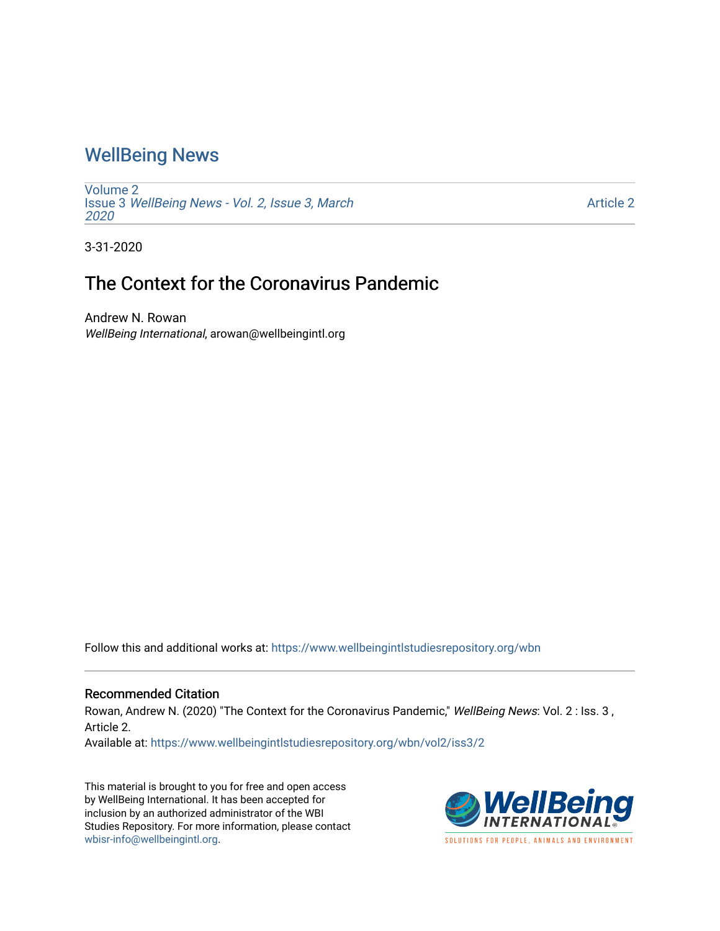## [WellBeing News](https://www.wellbeingintlstudiesrepository.org/wbn)

[Volume 2](https://www.wellbeingintlstudiesrepository.org/wbn/vol2) Issue 3 [WellBeing News - Vol. 2, Issue 3, March](https://www.wellbeingintlstudiesrepository.org/wbn/vol2/iss3) [2020](https://www.wellbeingintlstudiesrepository.org/wbn/vol2/iss3) 

[Article 2](https://www.wellbeingintlstudiesrepository.org/wbn/vol2/iss3/2) 

3-31-2020

## The Context for the Coronavirus Pandemic

Andrew N. Rowan WellBeing International, arowan@wellbeingintl.org

Follow this and additional works at: [https://www.wellbeingintlstudiesrepository.org/wbn](https://www.wellbeingintlstudiesrepository.org/wbn?utm_source=www.wellbeingintlstudiesrepository.org%2Fwbn%2Fvol2%2Fiss3%2F2&utm_medium=PDF&utm_campaign=PDFCoverPages)

## Recommended Citation

Rowan, Andrew N. (2020) "The Context for the Coronavirus Pandemic," WellBeing News: Vol. 2 : Iss. 3, Article 2.

Available at: [https://www.wellbeingintlstudiesrepository.org/wbn/vol2/iss3/2](https://www.wellbeingintlstudiesrepository.org/wbn/vol2/iss3/2?utm_source=www.wellbeingintlstudiesrepository.org%2Fwbn%2Fvol2%2Fiss3%2F2&utm_medium=PDF&utm_campaign=PDFCoverPages)

This material is brought to you for free and open access by WellBeing International. It has been accepted for inclusion by an authorized administrator of the WBI Studies Repository. For more information, please contact [wbisr-info@wellbeingintl.org](mailto:wbisr-info@wellbeingintl.org).

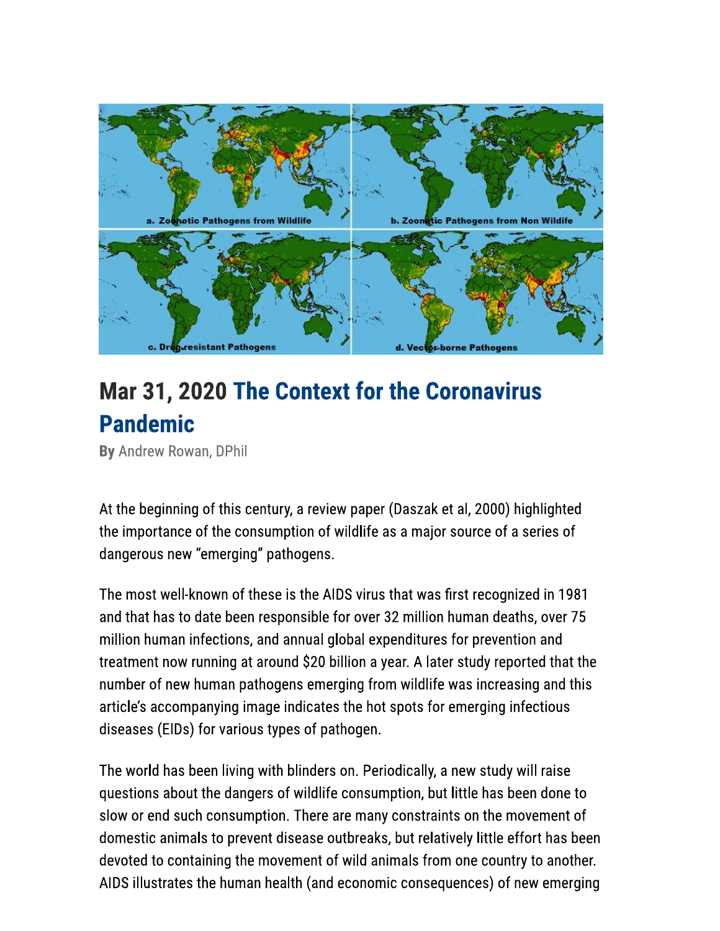

## **Mar 31, 2020 The Context for the Coronavirus Pandemic**

By Andrew Rowan, DPhil

At the beginning of this century, a review paper (Daszak et al, 2000) highlighted the importance of the consumption of wildlife as a major source of a series of dangerous new "emerging" pathogens.

The most well-known of these is the AIDS virus that was first recognized in 1981 and that has to date been responsible for over 32 million human deaths, over 75 million human infections, and annual global expenditures for prevention and treatment now running at around \$20 billion a year. A later study reported that the number of new human pathogens emerging from wildlife was increasing and this article's accompanying image indicates the hot spots for emerging infectious diseases (EIDs) for various types of pathogen.

The world has been living with blinders on. Periodically, a new study will raise questions about the dangers of wildlife consumption, but little has been done to slow or end such consumption. There are many constraints on the movement of domestic animals to prevent disease outbreaks, but relatively little effort has been devoted to containing the movement of wild animals from one country to another. AIDS illustrates the human health (and economic consequences) of new emerging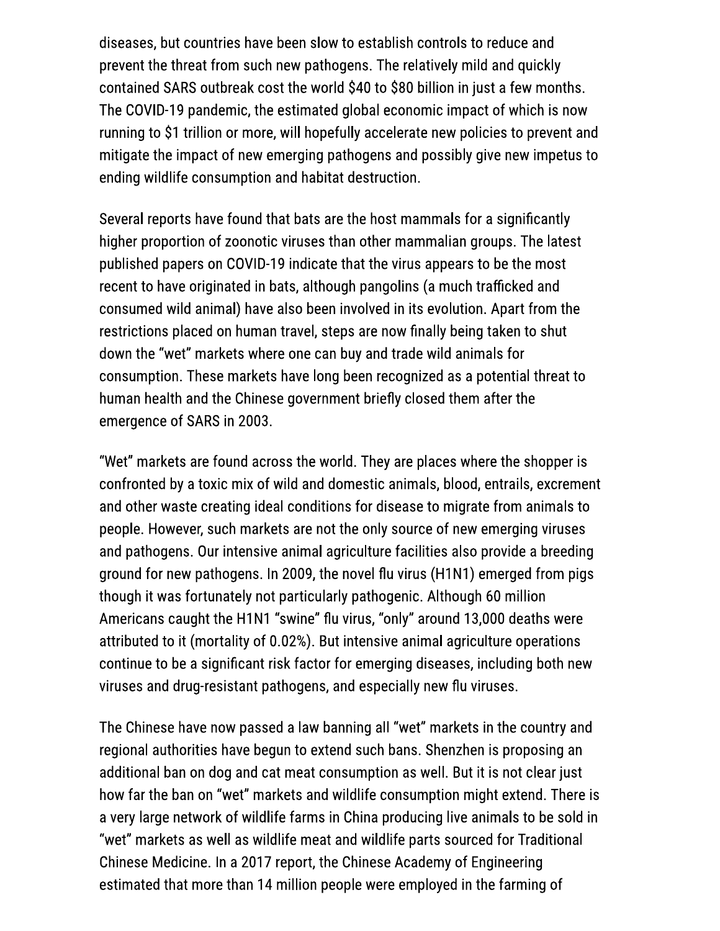diseases, but countries have been slow to establish controls to reduce and prevent the threat from such new pathogens. The relatively mild and quickly contained SARS outbreak cost the world \$40 to \$80 billion in just a few months. The COVID-19 pandemic, the estimated global economic impact of which is now running to \$1 trillion or more, will hopefully accelerate new policies to prevent and mitigate the impact of new emerging pathogens and possibly give new impetus to ending wildlife consumption and habitat destruction.

Several reports have found that bats are the host mammals for a significantly higher proportion of zoonotic viruses than other mammalian groups. The latest published papers on COVID-19 indicate that the virus appears to be the most recent to have originated in bats, although pangolins (a much trafficked and consumed wild animal) have also been involved in its evolution. Apart from the restrictions placed on human travel, steps are now finally being taken to shut down the "wet" markets where one can buy and trade wild animals for consumption. These markets have long been recognized as a potential threat to human health and the Chinese government briefly closed them after the emergence of SARS in 2003.

"Wet" markets are found across the world. They are places where the shopper is confronted by a toxic mix of wild and domestic animals, blood, entrails, excrement and other waste creating ideal conditions for disease to migrate from animals to people. However, such markets are not the only source of new emerging viruses and pathogens. Our intensive animal agriculture facilities also provide a breeding ground for new pathogens. In 2009, the novel flu virus (H1N1) emerged from pigs though it was fortunately not particularly pathogenic. Although 60 million Americans caught the H1N1 "swine" flu virus, "only" around 13,000 deaths were attributed to it (mortality of 0.02%). But intensive animal agriculture operations continue to be a significant risk factor for emerging diseases, including both new viruses and drug-resistant pathogens, and especially new flu viruses.

The Chinese have now passed a law banning all "wet" markets in the country and regional authorities have begun to extend such bans. Shenzhen is proposing an additional ban on dog and cat meat consumption as well. But it is not clear just how far the ban on "wet" markets and wildlife consumption might extend. There is a very large network of wildlife farms in China producing live animals to be sold in "wet" markets as well as wildlife meat and wildlife parts sourced for Traditional Chinese Medicine. In a 2017 report, the Chinese Academy of Engineering estimated that more than 14 million people were employed in the farming of